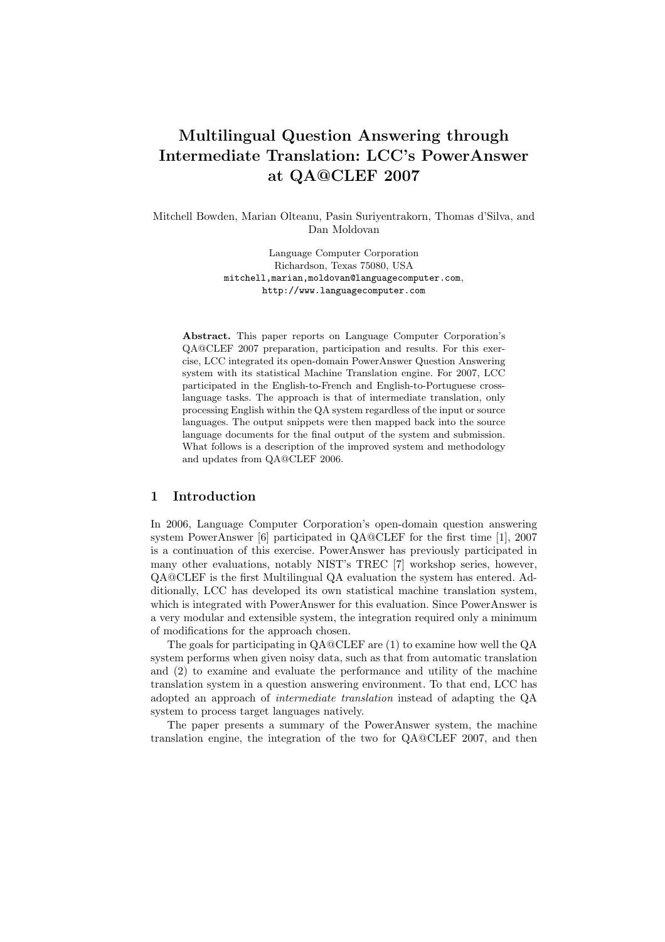# Multilingual Question Answering through Intermediate Translation: LCC's PowerAnswer at QA@CLEF 2007

Mitchell Bowden, Marian Olteanu, Pasin Suriyentrakorn, Thomas d'Silva, and Dan Moldovan

> Language Computer Corporation Richardson, Texas 75080, USA mitchell,marian,moldovan@languagecomputer.com, http://www.languagecomputer.com

Abstract. This paper reports on Language Computer Corporation's QA@CLEF 2007 preparation, participation and results. For this exercise, LCC integrated its open-domain PowerAnswer Question Answering system with its statistical Machine Translation engine. For 2007, LCC participated in the English-to-French and English-to-Portuguese crosslanguage tasks. The approach is that of intermediate translation, only processing English within the QA system regardless of the input or source languages. The output snippets were then mapped back into the source language documents for the final output of the system and submission. What follows is a description of the improved system and methodology and updates from QA@CLEF 2006.

# 1 Introduction

In 2006, Language Computer Corporation's open-domain question answering system PowerAnswer [6] participated in QA@CLEF for the first time [1], 2007 is a continuation of this exercise. PowerAnswer has previously participated in many other evaluations, notably NIST's TREC [7] workshop series, however, QA@CLEF is the first Multilingual QA evaluation the system has entered. Additionally, LCC has developed its own statistical machine translation system, which is integrated with PowerAnswer for this evaluation. Since PowerAnswer is a very modular and extensible system, the integration required only a minimum of modifications for the approach chosen.

The goals for participating in QA@CLEF are (1) to examine how well the QA system performs when given noisy data, such as that from automatic translation and (2) to examine and evaluate the performance and utility of the machine translation system in a question answering environment. To that end, LCC has adopted an approach of intermediate translation instead of adapting the QA system to process target languages natively.

The paper presents a summary of the PowerAnswer system, the machine translation engine, the integration of the two for QA@CLEF 2007, and then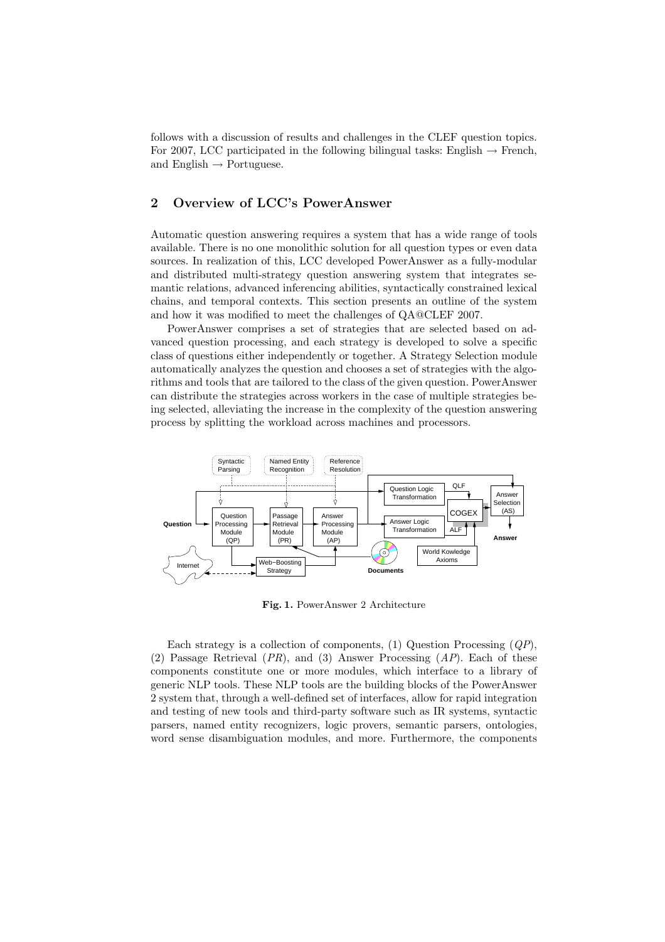follows with a discussion of results and challenges in the CLEF question topics. For 2007, LCC participated in the following bilingual tasks: English  $\rightarrow$  French, and English  $\rightarrow$  Portuguese.

# 2 Overview of LCC's PowerAnswer

Automatic question answering requires a system that has a wide range of tools available. There is no one monolithic solution for all question types or even data sources. In realization of this, LCC developed PowerAnswer as a fully-modular and distributed multi-strategy question answering system that integrates semantic relations, advanced inferencing abilities, syntactically constrained lexical chains, and temporal contexts. This section presents an outline of the system and how it was modified to meet the challenges of QA@CLEF 2007.

PowerAnswer comprises a set of strategies that are selected based on advanced question processing, and each strategy is developed to solve a specific class of questions either independently or together. A Strategy Selection module automatically analyzes the question and chooses a set of strategies with the algorithms and tools that are tailored to the class of the given question. PowerAnswer can distribute the strategies across workers in the case of multiple strategies being selected, alleviating the increase in the complexity of the question answering process by splitting the workload across machines and processors.



Fig. 1. PowerAnswer 2 Architecture

Each strategy is a collection of components, (1) Question Processing  $(QP)$ , (2) Passage Retrieval  $(PR)$ , and (3) Answer Processing  $(AP)$ . Each of these components constitute one or more modules, which interface to a library of generic NLP tools. These NLP tools are the building blocks of the PowerAnswer 2 system that, through a well-defined set of interfaces, allow for rapid integration and testing of new tools and third-party software such as IR systems, syntactic parsers, named entity recognizers, logic provers, semantic parsers, ontologies, word sense disambiguation modules, and more. Furthermore, the components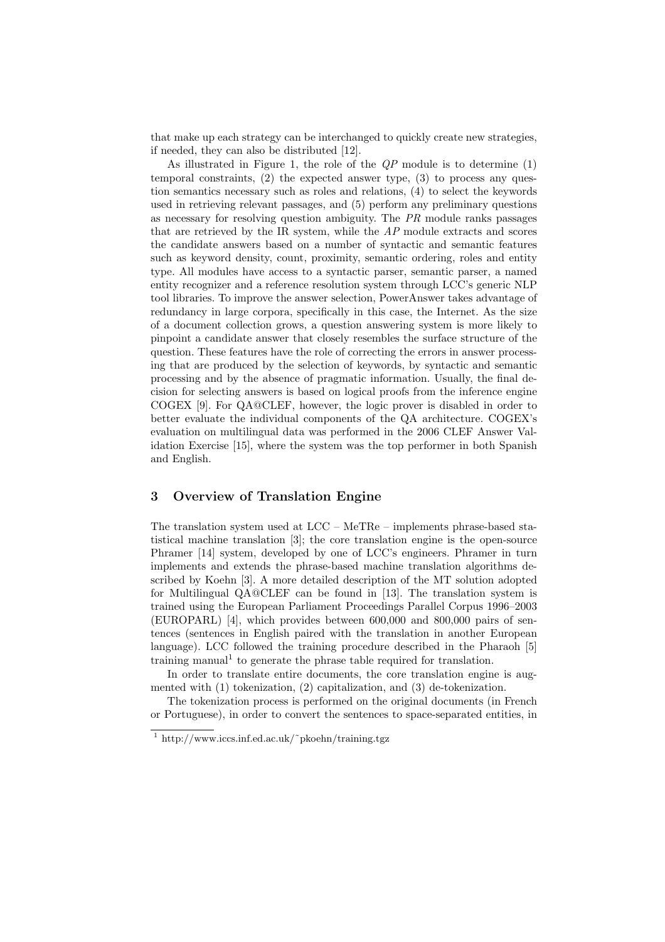that make up each strategy can be interchanged to quickly create new strategies, if needed, they can also be distributed [12].

As illustrated in Figure 1, the role of the  $QP$  module is to determine  $(1)$ temporal constraints, (2) the expected answer type, (3) to process any question semantics necessary such as roles and relations, (4) to select the keywords used in retrieving relevant passages, and (5) perform any preliminary questions as necessary for resolving question ambiguity. The PR module ranks passages that are retrieved by the IR system, while the  $AP$  module extracts and scores the candidate answers based on a number of syntactic and semantic features such as keyword density, count, proximity, semantic ordering, roles and entity type. All modules have access to a syntactic parser, semantic parser, a named entity recognizer and a reference resolution system through LCC's generic NLP tool libraries. To improve the answer selection, PowerAnswer takes advantage of redundancy in large corpora, specifically in this case, the Internet. As the size of a document collection grows, a question answering system is more likely to pinpoint a candidate answer that closely resembles the surface structure of the question. These features have the role of correcting the errors in answer processing that are produced by the selection of keywords, by syntactic and semantic processing and by the absence of pragmatic information. Usually, the final decision for selecting answers is based on logical proofs from the inference engine COGEX [9]. For QA@CLEF, however, the logic prover is disabled in order to better evaluate the individual components of the QA architecture. COGEX's evaluation on multilingual data was performed in the 2006 CLEF Answer Validation Exercise [15], where the system was the top performer in both Spanish and English.

# 3 Overview of Translation Engine

The translation system used at LCC – MeTRe – implements phrase-based statistical machine translation [3]; the core translation engine is the open-source Phramer [14] system, developed by one of LCC's engineers. Phramer in turn implements and extends the phrase-based machine translation algorithms described by Koehn [3]. A more detailed description of the MT solution adopted for Multilingual QA@CLEF can be found in [13]. The translation system is trained using the European Parliament Proceedings Parallel Corpus 1996–2003 (EUROPARL) [4], which provides between 600,000 and 800,000 pairs of sentences (sentences in English paired with the translation in another European language). LCC followed the training procedure described in the Pharaoh [5] training manual<sup>1</sup> to generate the phrase table required for translation.

In order to translate entire documents, the core translation engine is augmented with (1) tokenization, (2) capitalization, and (3) de-tokenization.

The tokenization process is performed on the original documents (in French or Portuguese), in order to convert the sentences to space-separated entities, in

<sup>&</sup>lt;sup>1</sup> http://www.iccs.inf.ed.ac.uk/~pkoehn/training.tgz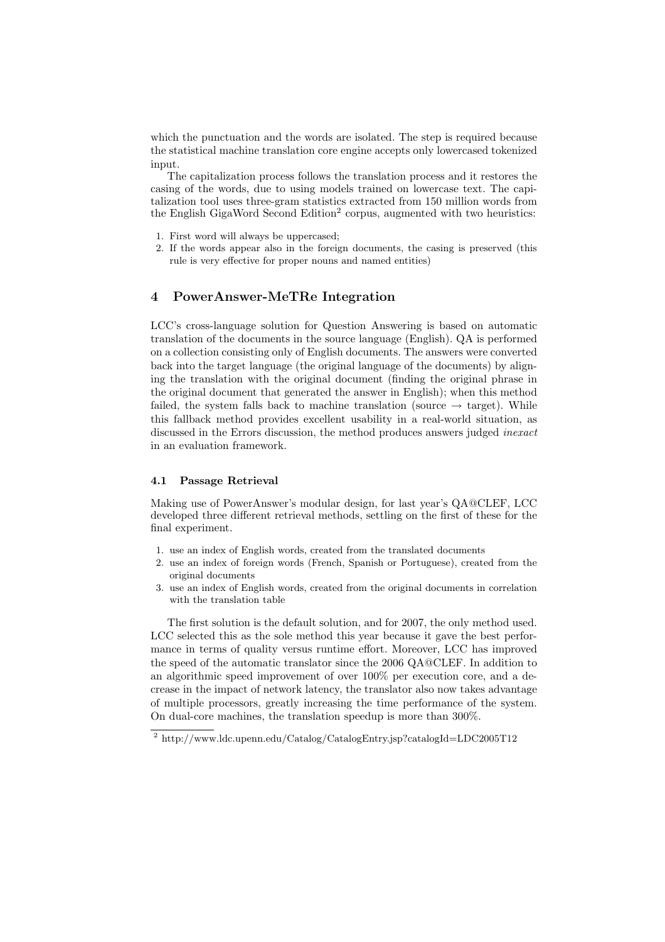which the punctuation and the words are isolated. The step is required because the statistical machine translation core engine accepts only lowercased tokenized input.

The capitalization process follows the translation process and it restores the casing of the words, due to using models trained on lowercase text. The capitalization tool uses three-gram statistics extracted from 150 million words from the English GigaWord Second Edition<sup>2</sup> corpus, augmented with two heuristics:

- 1. First word will always be uppercased;
- 2. If the words appear also in the foreign documents, the casing is preserved (this rule is very effective for proper nouns and named entities)

# 4 PowerAnswer-MeTRe Integration

LCC's cross-language solution for Question Answering is based on automatic translation of the documents in the source language (English). QA is performed on a collection consisting only of English documents. The answers were converted back into the target language (the original language of the documents) by aligning the translation with the original document (finding the original phrase in the original document that generated the answer in English); when this method failed, the system falls back to machine translation (source  $\rightarrow$  target). While this fallback method provides excellent usability in a real-world situation, as discussed in the Errors discussion, the method produces answers judged inexact in an evaluation framework.

### 4.1 Passage Retrieval

Making use of PowerAnswer's modular design, for last year's QA@CLEF, LCC developed three different retrieval methods, settling on the first of these for the final experiment.

- 1. use an index of English words, created from the translated documents
- 2. use an index of foreign words (French, Spanish or Portuguese), created from the original documents
- 3. use an index of English words, created from the original documents in correlation with the translation table

The first solution is the default solution, and for 2007, the only method used. LCC selected this as the sole method this year because it gave the best performance in terms of quality versus runtime effort. Moreover, LCC has improved the speed of the automatic translator since the 2006 QA@CLEF. In addition to an algorithmic speed improvement of over 100% per execution core, and a decrease in the impact of network latency, the translator also now takes advantage of multiple processors, greatly increasing the time performance of the system. On dual-core machines, the translation speedup is more than 300%.

<sup>&</sup>lt;sup>2</sup> http://www.ldc.upenn.edu/Catalog/CatalogEntry.jsp?catalogId=LDC2005T12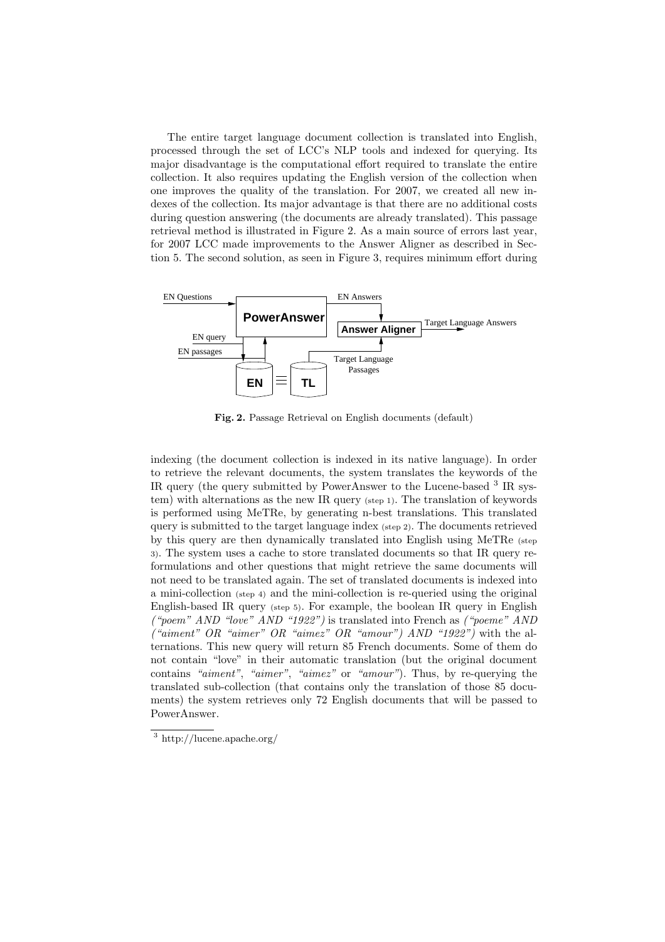The entire target language document collection is translated into English, processed through the set of LCC's NLP tools and indexed for querying. Its major disadvantage is the computational effort required to translate the entire collection. It also requires updating the English version of the collection when one improves the quality of the translation. For 2007, we created all new indexes of the collection. Its major advantage is that there are no additional costs during question answering (the documents are already translated). This passage retrieval method is illustrated in Figure 2. As a main source of errors last year, for 2007 LCC made improvements to the Answer Aligner as described in Section 5. The second solution, as seen in Figure 3, requires minimum effort during



Fig. 2. Passage Retrieval on English documents (default)

indexing (the document collection is indexed in its native language). In order to retrieve the relevant documents, the system translates the keywords of the IR query (the query submitted by PowerAnswer to the Lucene-based <sup>3</sup> IR system) with alternations as the new IR query (step 1). The translation of keywords is performed using MeTRe, by generating n-best translations. This translated query is submitted to the target language index (step 2). The documents retrieved by this query are then dynamically translated into English using MeTRe (step 3). The system uses a cache to store translated documents so that IR query reformulations and other questions that might retrieve the same documents will not need to be translated again. The set of translated documents is indexed into a mini-collection (step 4) and the mini-collection is re-queried using the original English-based IR query (step 5). For example, the boolean IR query in English ("poem" AND "love" AND "1922") is translated into French as ("poeme" AND ("aiment" OR "aimer" OR "aimez" OR "amour") AND "1922") with the alternations. This new query will return 85 French documents. Some of them do not contain "love" in their automatic translation (but the original document contains "aiment", "aimer", "aimez" or "amour"). Thus, by re-querying the translated sub-collection (that contains only the translation of those 85 documents) the system retrieves only 72 English documents that will be passed to PowerAnswer.

 $\frac{3 \text{ http://lucene.apache.org/}}{3}$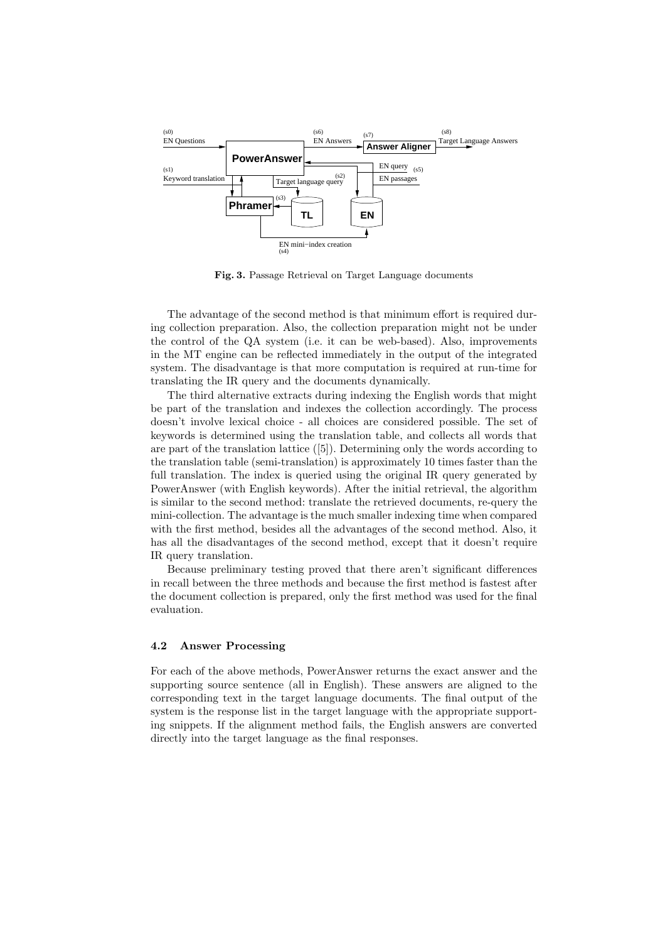

Fig. 3. Passage Retrieval on Target Language documents

The advantage of the second method is that minimum effort is required during collection preparation. Also, the collection preparation might not be under the control of the QA system (i.e. it can be web-based). Also, improvements in the MT engine can be reflected immediately in the output of the integrated system. The disadvantage is that more computation is required at run-time for translating the IR query and the documents dynamically.

The third alternative extracts during indexing the English words that might be part of the translation and indexes the collection accordingly. The process doesn't involve lexical choice - all choices are considered possible. The set of keywords is determined using the translation table, and collects all words that are part of the translation lattice ([5]). Determining only the words according to the translation table (semi-translation) is approximately 10 times faster than the full translation. The index is queried using the original IR query generated by PowerAnswer (with English keywords). After the initial retrieval, the algorithm is similar to the second method: translate the retrieved documents, re-query the mini-collection. The advantage is the much smaller indexing time when compared with the first method, besides all the advantages of the second method. Also, it has all the disadvantages of the second method, except that it doesn't require IR query translation.

Because preliminary testing proved that there aren't significant differences in recall between the three methods and because the first method is fastest after the document collection is prepared, only the first method was used for the final evaluation.

## 4.2 Answer Processing

For each of the above methods, PowerAnswer returns the exact answer and the supporting source sentence (all in English). These answers are aligned to the corresponding text in the target language documents. The final output of the system is the response list in the target language with the appropriate supporting snippets. If the alignment method fails, the English answers are converted directly into the target language as the final responses.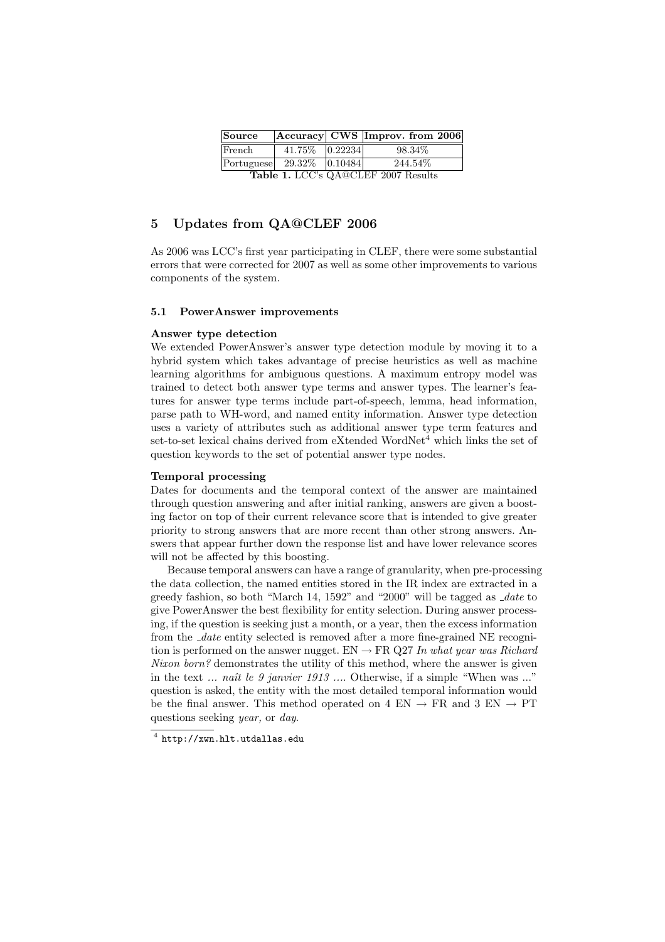| Source                              |                 |  | Accuracy CWS Improv. from 2006 |  |
|-------------------------------------|-----------------|--|--------------------------------|--|
| French                              | 41.75\% 0.22234 |  | 98.34\%                        |  |
| $ Portuguese $ 29.32\% $ 0.10484 $  |                 |  | 244.54%                        |  |
| Table 1. LCC's QA@CLEF 2007 Results |                 |  |                                |  |

# 5 Updates from QA@CLEF 2006

As 2006 was LCC's first year participating in CLEF, there were some substantial errors that were corrected for 2007 as well as some other improvements to various components of the system.

### 5.1 PowerAnswer improvements

#### Answer type detection

We extended PowerAnswer's answer type detection module by moving it to a hybrid system which takes advantage of precise heuristics as well as machine learning algorithms for ambiguous questions. A maximum entropy model was trained to detect both answer type terms and answer types. The learner's features for answer type terms include part-of-speech, lemma, head information, parse path to WH-word, and named entity information. Answer type detection uses a variety of attributes such as additional answer type term features and set-to-set lexical chains derived from eXtended WordNet<sup>4</sup> which links the set of question keywords to the set of potential answer type nodes.

### Temporal processing

Dates for documents and the temporal context of the answer are maintained through question answering and after initial ranking, answers are given a boosting factor on top of their current relevance score that is intended to give greater priority to strong answers that are more recent than other strong answers. Answers that appear further down the response list and have lower relevance scores will not be affected by this boosting.

Because temporal answers can have a range of granularity, when pre-processing the data collection, the named entities stored in the IR index are extracted in a greedy fashion, so both "March 14,  $1592$ " and "2000" will be tagged as  $\_{date}$  to give PowerAnswer the best flexibility for entity selection. During answer processing, if the question is seeking just a month, or a year, then the excess information from the *date* entity selected is removed after a more fine-grained NE recognition is performed on the answer nugget. EN  $\rightarrow$  FR Q27 In what year was Richard Nixon born? demonstrates the utility of this method, where the answer is given in the text  $\ldots$  naît le 9 janvier 1913  $\ldots$  Otherwise, if a simple "When was  $\ldots$ " question is asked, the entity with the most detailed temporal information would be the final answer. This method operated on 4 EN  $\rightarrow$  FR and 3 EN  $\rightarrow$  PT questions seeking year, or day.

 $^4$  http://xwn.hlt.utdallas.edu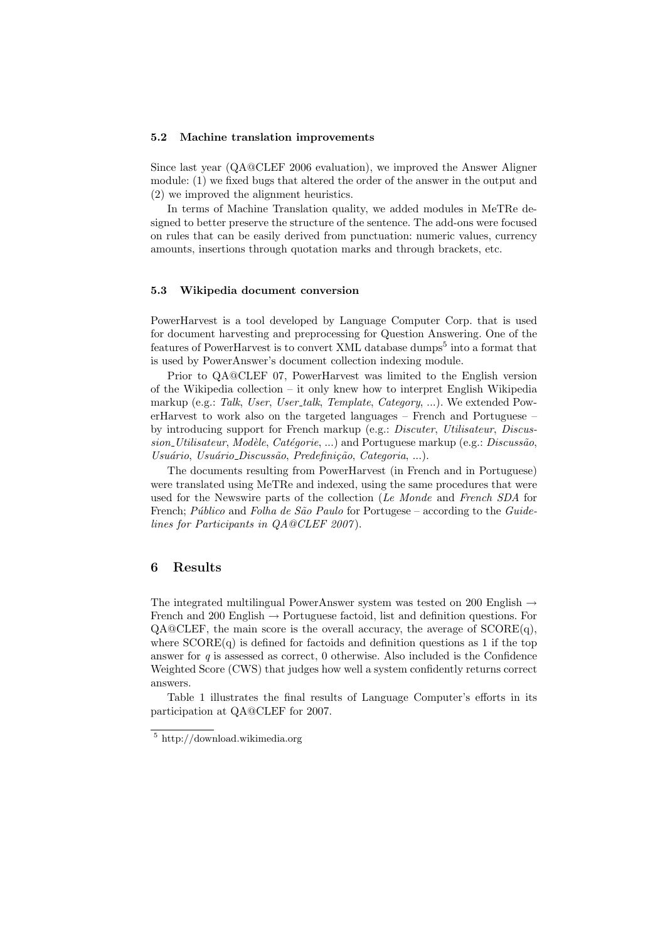#### 5.2 Machine translation improvements

Since last year (QA@CLEF 2006 evaluation), we improved the Answer Aligner module: (1) we fixed bugs that altered the order of the answer in the output and (2) we improved the alignment heuristics.

In terms of Machine Translation quality, we added modules in MeTRe designed to better preserve the structure of the sentence. The add-ons were focused on rules that can be easily derived from punctuation: numeric values, currency amounts, insertions through quotation marks and through brackets, etc.

### 5.3 Wikipedia document conversion

PowerHarvest is a tool developed by Language Computer Corp. that is used for document harvesting and preprocessing for Question Answering. One of the features of PowerHarvest is to convert XML database dumps<sup>5</sup> into a format that is used by PowerAnswer's document collection indexing module.

Prior to QA@CLEF 07, PowerHarvest was limited to the English version of the Wikipedia collection – it only knew how to interpret English Wikipedia markup (e.g.: Talk, User, User\_talk, Template, Category, ...). We extended PowerHarvest to work also on the targeted languages – French and Portuguese – by introducing support for French markup (e.g.: Discuter, Utilisateur, Discus $sion_{\sim}Utilisateur, Modele, Catégorie, ...)$  and Portuguese markup (e.g.: Discussão, Usuário, Usuário<sub>-</sub>Discussão, Predefinição, Categoria, ...).

The documents resulting from PowerHarvest (in French and in Portuguese) were translated using MeTRe and indexed, using the same procedures that were used for the Newswire parts of the collection (Le Monde and French SDA for French; Público and Folha de São Paulo for Portugese – according to the Guidelines for Participants in  $QA@CLEF 2007$ .

# 6 Results

The integrated multilingual PowerAnswer system was tested on 200 English  $\rightarrow$ French and 200 English  $\rightarrow$  Portuguese factoid, list and definition questions. For  $QA@CLEF$ , the main score is the overall accuracy, the average of  $SCORE(q)$ , where  $SCORE(q)$  is defined for factorids and definition questions as 1 if the top answer for  $q$  is assessed as correct, 0 otherwise. Also included is the Confidence Weighted Score (CWS) that judges how well a system confidently returns correct answers.

Table 1 illustrates the final results of Language Computer's efforts in its participation at QA@CLEF for 2007.

<sup>5</sup> http://download.wikimedia.org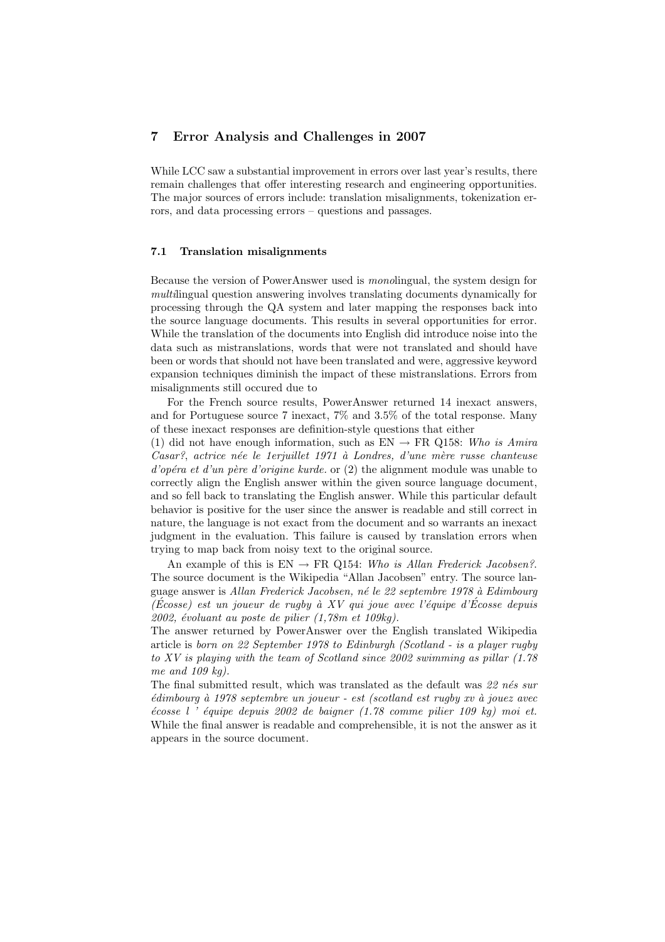# 7 Error Analysis and Challenges in 2007

While LCC saw a substantial improvement in errors over last year's results, there remain challenges that offer interesting research and engineering opportunities. The major sources of errors include: translation misalignments, tokenization errors, and data processing errors – questions and passages.

### 7.1 Translation misalignments

Because the version of PowerAnswer used is monolingual, the system design for multilingual question answering involves translating documents dynamically for processing through the QA system and later mapping the responses back into the source language documents. This results in several opportunities for error. While the translation of the documents into English did introduce noise into the data such as mistranslations, words that were not translated and should have been or words that should not have been translated and were, aggressive keyword expansion techniques diminish the impact of these mistranslations. Errors from misalignments still occured due to

For the French source results, PowerAnswer returned 14 inexact answers, and for Portuguese source 7 inexact, 7% and 3.5% of the total response. Many of these inexact responses are definition-style questions that either

(1) did not have enough information, such as  $EN \rightarrow FR$  Q158: Who is Amira Casar?, actrice née le 1erjuillet 1971 à Londres, d'une mère russe chanteuse  $d'$ opéra et d'un père d'origine kurde. or  $(2)$  the alignment module was unable to correctly align the English answer within the given source language document, and so fell back to translating the English answer. While this particular default behavior is positive for the user since the answer is readable and still correct in nature, the language is not exact from the document and so warrants an inexact judgment in the evaluation. This failure is caused by translation errors when trying to map back from noisy text to the original source.

An example of this is  $EN \rightarrow FR$  Q154: Who is Allan Frederick Jacobsen?. The source document is the Wikipedia "Allan Jacobsen" entry. The source language answer is Allan Frederick Jacobsen, né le 22 septembre 1978 à Edimbourg  $(\hat{E} \text{cos} s e)$  est un joueur de rugby à XV qui joue avec l'équipe d'Écosse depuis  $2002$ , évoluant au poste de pilier (1,78m et 109kg).

The answer returned by PowerAnswer over the English translated Wikipedia article is born on 22 September 1978 to Edinburgh (Scotland - is a player rugby to XV is playing with the team of Scotland since 2002 swimming as pillar (1.78 me and 109 kg).

The final submitted result, which was translated as the default was  $22$  nés sur  $\'e dimbourg \`a 1978 septembre un joueur - est (sootland est rugby xv  $\`a$  jouez avec$  $\acute{e}cosse$  l '  $\acute{e}quipe$  depuis 2002 de baigner (1.78 comme pilier 109 kg) moi et. While the final answer is readable and comprehensible, it is not the answer as it appears in the source document.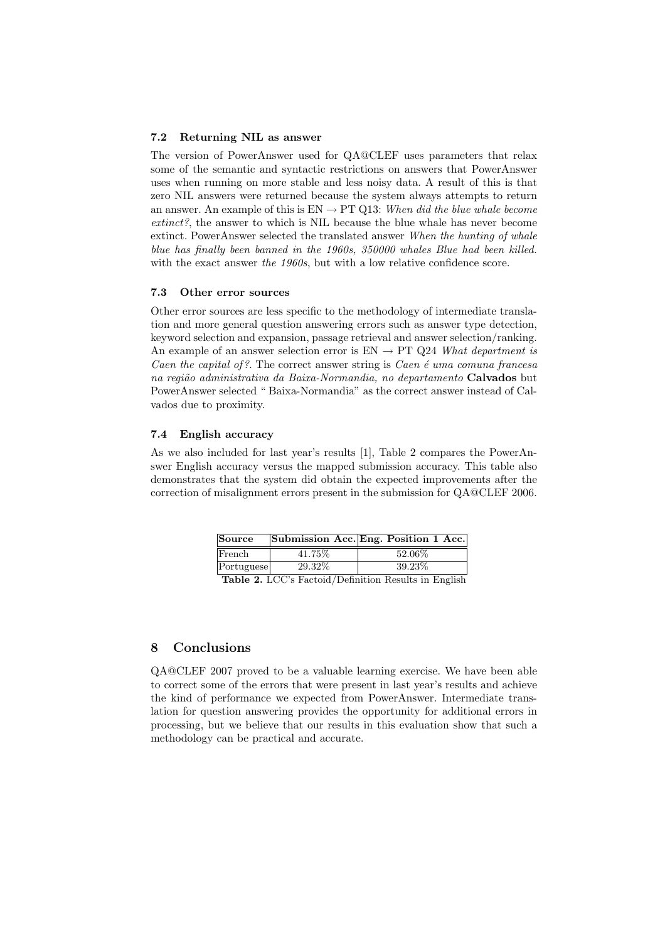### 7.2 Returning NIL as answer

The version of PowerAnswer used for QA@CLEF uses parameters that relax some of the semantic and syntactic restrictions on answers that PowerAnswer uses when running on more stable and less noisy data. A result of this is that zero NIL answers were returned because the system always attempts to return an answer. An example of this is  $EN \rightarrow PT$  Q13: When did the blue whale become extinct?, the answer to which is NIL because the blue whale has never become extinct. PowerAnswer selected the translated answer When the hunting of whale blue has finally been banned in the 1960s, 350000 whales Blue had been killed. with the exact answer the 1960s, but with a low relative confidence score.

### 7.3 Other error sources

Other error sources are less specific to the methodology of intermediate translation and more general question answering errors such as answer type detection, keyword selection and expansion, passage retrieval and answer selection/ranking. An example of an answer selection error is  $EN \rightarrow PT$  Q24 What department is Caen the capital of?. The correct answer string is Caen  $\acute{e}$  uma comuna francesa na região administrativa da Baixa-Normandia, no departamento Calvados but PowerAnswer selected " Baixa-Normandia" as the correct answer instead of Calvados due to proximity.

### 7.4 English accuracy

As we also included for last year's results [1], Table 2 compares the PowerAnswer English accuracy versus the mapped submission accuracy. This table also demonstrates that the system did obtain the expected improvements after the correction of misalignment errors present in the submission for QA@CLEF 2006.

| Source     |        | Submission Acc. Eng. Position 1 Acc. |
|------------|--------|--------------------------------------|
| French     | 41.75% | 52.06%                               |
| Portuguese | 29.32% | 39.23%                               |

Table 2. LCC's Factoid/Definition Results in English

# 8 Conclusions

QA@CLEF 2007 proved to be a valuable learning exercise. We have been able to correct some of the errors that were present in last year's results and achieve the kind of performance we expected from PowerAnswer. Intermediate translation for question answering provides the opportunity for additional errors in processing, but we believe that our results in this evaluation show that such a methodology can be practical and accurate.